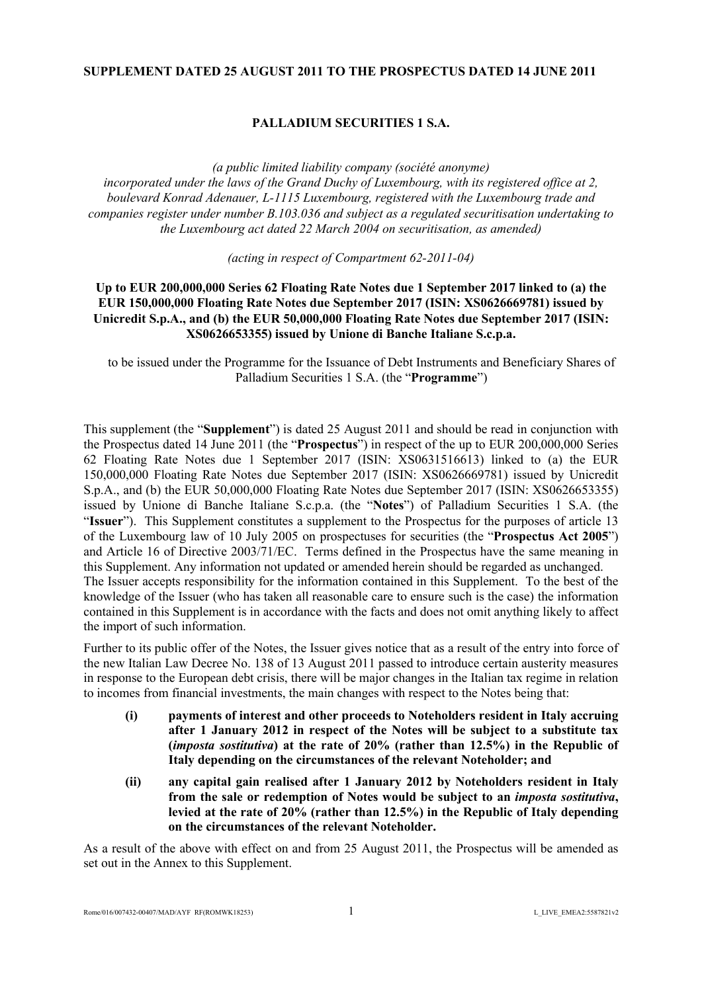## **SUPPLEMENT DATED 25 AUGUST 2011 TO THE PROSPECTUS DATED 14 JUNE 2011**

# **PALLADIUM SECURITIES 1 S.A.**

*(a public limited liability company (société anonyme) incorporated under the laws of the Grand Duchy of Luxembourg, with its registered office at 2, boulevard Konrad Adenauer, L-1115 Luxembourg, registered with the Luxembourg trade and companies register under number B.103.036 and subject as a regulated securitisation undertaking to the Luxembourg act dated 22 March 2004 on securitisation, as amended)* 

*(acting in respect of Compartment 62-2011-04)*

## **Up to EUR 200,000,000 Series 62 Floating Rate Notes due 1 September 2017 linked to (a) the EUR 150,000,000 Floating Rate Notes due September 2017 (ISIN: XS0626669781) issued by Unicredit S.p.A., and (b) the EUR 50,000,000 Floating Rate Notes due September 2017 (ISIN: XS0626653355) issued by Unione di Banche Italiane S.c.p.a.**

to be issued under the Programme for the Issuance of Debt Instruments and Beneficiary Shares of Palladium Securities 1 S.A. (the "**Programme**")

This supplement (the "**Supplement**") is dated 25 August 2011 and should be read in conjunction with the Prospectus dated 14 June 2011 (the "**Prospectus**") in respect of the up to EUR 200,000,000 Series 62 Floating Rate Notes due 1 September 2017 (ISIN: XS0631516613) linked to (a) the EUR 150,000,000 Floating Rate Notes due September 2017 (ISIN: XS0626669781) issued by Unicredit S.p.A., and (b) the EUR 50,000,000 Floating Rate Notes due September 2017 (ISIN: XS0626653355) issued by Unione di Banche Italiane S.c.p.a. (the "**Notes**") of Palladium Securities 1 S.A. (the "**Issuer**"). This Supplement constitutes a supplement to the Prospectus for the purposes of article 13 of the Luxembourg law of 10 July 2005 on prospectuses for securities (the "**Prospectus Act 2005**") and Article 16 of Directive 2003/71/EC. Terms defined in the Prospectus have the same meaning in this Supplement. Any information not updated or amended herein should be regarded as unchanged. The Issuer accepts responsibility for the information contained in this Supplement. To the best of the knowledge of the Issuer (who has taken all reasonable care to ensure such is the case) the information contained in this Supplement is in accordance with the facts and does not omit anything likely to affect the import of such information.

Further to its public offer of the Notes, the Issuer gives notice that as a result of the entry into force of the new Italian Law Decree No. 138 of 13 August 2011 passed to introduce certain austerity measures in response to the European debt crisis, there will be major changes in the Italian tax regime in relation to incomes from financial investments, the main changes with respect to the Notes being that:

- **(i) payments of interest and other proceeds to Noteholders resident in Italy accruing after 1 January 2012 in respect of the Notes will be subject to a substitute tax (***imposta sostitutiva***) at the rate of 20% (rather than 12.5%) in the Republic of Italy depending on the circumstances of the relevant Noteholder; and**
- **(ii) any capital gain realised after 1 January 2012 by Noteholders resident in Italy from the sale or redemption of Notes would be subject to an** *imposta sostitutiva***, levied at the rate of 20% (rather than 12.5%) in the Republic of Italy depending on the circumstances of the relevant Noteholder.**

As a result of the above with effect on and from 25 August 2011, the Prospectus will be amended as set out in the Annex to this Supplement.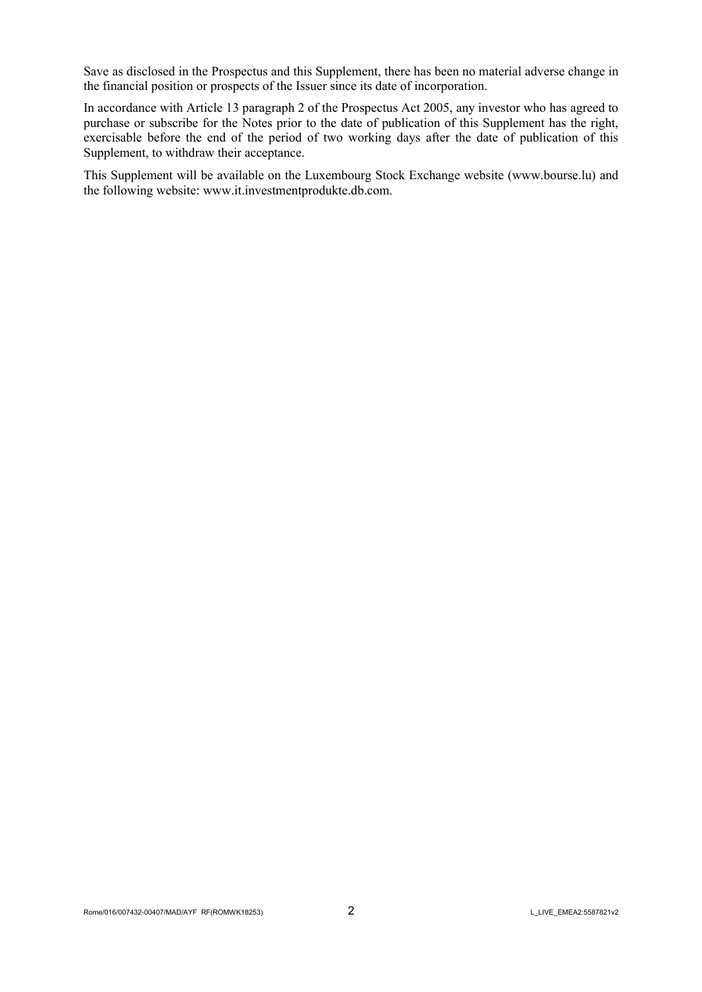Save as disclosed in the Prospectus and this Supplement, there has been no material adverse change in the financial position or prospects of the Issuer since its date of incorporation.

In accordance with Article 13 paragraph 2 of the Prospectus Act 2005, any investor who has agreed to purchase or subscribe for the Notes prior to the date of publication of this Supplement has the right, exercisable before the end of the period of two working days after the date of publication of this Supplement, to withdraw their acceptance.

This Supplement will be available on the Luxembourg Stock Exchange website [\(w](http://www.bourse.lu/)[ww.b](www.bo)[ourse.lu](http://www.bourse.lu/)) and the following website: [w](http://www.it.investmentprodukte.db.com/)[ww.it.i](www.it.in)[nvestmentprodukte.db.com](http://www.it.investmentprodukte.db.com/).